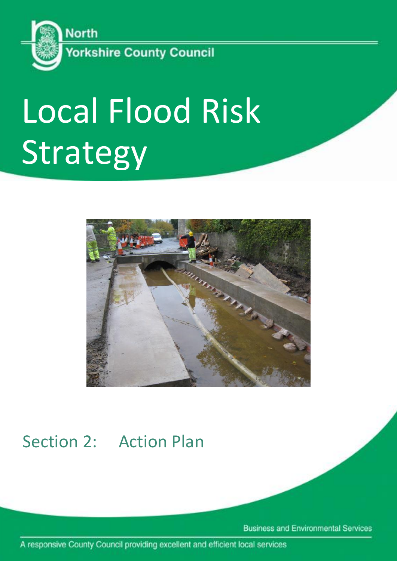

# Local Flood Risk Strategy



# Section 2: Action Plan

**Business and Environmental Services** 

A responsive County Council providing excellent and efficient local services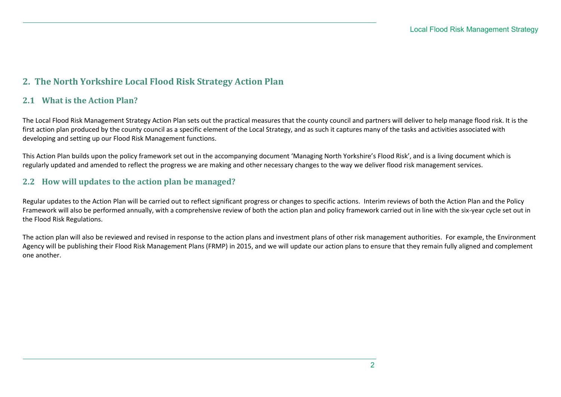### **2. The North Yorkshire Local Flood Risk Strategy Action Plan**

#### **2.1 What is the Action Plan?**

The Local Flood Risk Management Strategy Action Plan sets out the practical measures that the county council and partners will deliver to help manage flood risk. It is the first action plan produced by the county council as a specific element of the Local Strategy, and as such it captures many of the tasks and activities associated with developing and setting up our Flood Risk Management functions.

This Action Plan builds upon the policy framework set out in the accompanying document 'Managing North Yorkshire's Flood Risk', and is a living document which is regularly updated and amended to reflect the progress we are making and other necessary changes to the way we deliver flood risk management services.

#### **2.2 How will updates to the action plan be managed?**

Regular updates to the Action Plan will be carried out to reflect significant progress or changes to specific actions. Interim reviews of both the Action Plan and the Policy Framework will also be performed annually, with a comprehensive review of both the action plan and policy framework carried out in line with the six-year cycle set out in the Flood Risk Regulations.

The action plan will also be reviewed and revised in response to the action plans and investment plans of other risk management authorities. For example, the Environment Agency will be publishing their Flood Risk Management Plans (FRMP) in 2015, and we will update our action plans to ensure that they remain fully aligned and complement one another.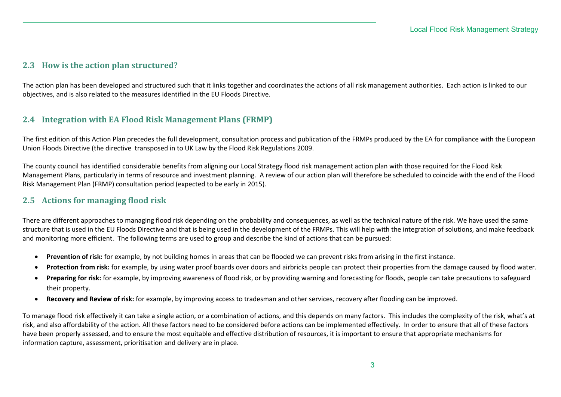#### **2.3 How is the action plan structured?**

The action plan has been developed and structured such that it links together and coordinates the actions of all risk management authorities. Each action is linked to our objectives, and is also related to the measures identified in the EU Floods Directive.

#### **2.4 Integration with EA Flood Risk Management Plans (FRMP)**

The first edition of this Action Plan precedes the full development, consultation process and publication of the FRMPs produced by the EA for compliance with the European Union Floods Directive (the directive transposed in to UK Law by the Flood Risk Regulations 2009.

The county council has identified considerable benefits from aligning our Local Strategy flood risk management action plan with those required for the Flood Risk Management Plans, particularly in terms of resource and investment planning. A review of our action plan will therefore be scheduled to coincide with the end of the Flood Risk Management Plan (FRMP) consultation period (expected to be early in 2015).

#### **2.5 Actions for managing flood risk**

There are different approaches to managing flood risk depending on the probability and consequences, as well as the technical nature of the risk. We have used the same structure that is used in the EU Floods Directive and that is being used in the development of the FRMPs. This will help with the integration of solutions, and make feedback and monitoring more efficient. The following terms are used to group and describe the kind of actions that can be pursued:

- **Prevention of risk:** for example, by not building homes in areas that can be flooded we can prevent risks from arising in the first instance.
- **Protection from risk:** for example, by using water proof boards over doors and airbricks people can protect their properties from the damage caused by flood water.
- Preparing for risk: for example, by improving awareness of flood risk, or by providing warning and forecasting for floods, people can take precautions to safeguard their property.
- **Recovery and Review of risk:** for example, by improving access to tradesman and other services, recovery after flooding can be improved.

To manage flood risk effectively it can take a single action, or a combination of actions, and this depends on many factors. This includes the complexity of the risk, what's at risk, and also affordability of the action. All these factors need to be considered before actions can be implemented effectively. In order to ensure that all of these factors have been properly assessed, and to ensure the most equitable and effective distribution of resources, it is important to ensure that appropriate mechanisms for information capture, assessment, prioritisation and delivery are in place.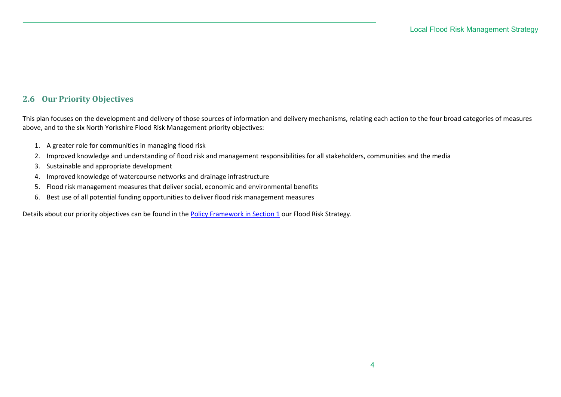#### **2.6 Our Priority Objectives**

This plan focuses on the development and delivery of those sources of information and delivery mechanisms, relating each action to the four broad categories of measures above, and to the six North Yorkshire Flood Risk Management priority objectives:

- 1. A greater role for communities in managing flood risk
- 2. Improved knowledge and understanding of flood risk and management responsibilities for all stakeholders, communities and the media
- 3. Sustainable and appropriate development
- 4. Improved knowledge of watercourse networks and drainage infrastructure
- 5. Flood risk management measures that deliver social, economic and environmental benefits
- 6. Best use of all potential funding opportunities to deliver flood risk management measures

Details about our priority objectives can be found in the [Policy Framework in Section 1](Local%20Strategy%20Section%201%20-%20Overview.docx) our Flood Risk Strategy.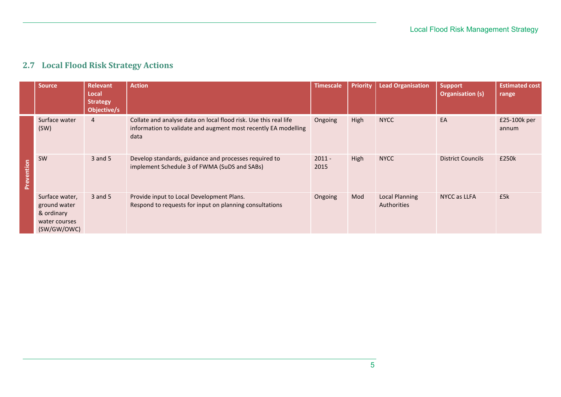|            | <b>Source</b>                                                                | Relevant<br>Local<br><b>Strategy</b><br>Objective/s | <b>Action</b>                                                                                                                              | Timescale        | Priority    | <b>Lead Organisation</b>                    | <b>Support</b><br><b>Organisation (s)</b> | <b>Estimated cost</b><br>range |
|------------|------------------------------------------------------------------------------|-----------------------------------------------------|--------------------------------------------------------------------------------------------------------------------------------------------|------------------|-------------|---------------------------------------------|-------------------------------------------|--------------------------------|
|            | Surface water<br>(SW)                                                        | $\overline{4}$                                      | Collate and analyse data on local flood risk. Use this real life<br>information to validate and augment most recently EA modelling<br>data | Ongoing          | High        | <b>NYCC</b>                                 | EA                                        | £25-100k per<br>annum          |
| Prevention | SW                                                                           | $3$ and $5$                                         | Develop standards, guidance and processes required to<br>implement Schedule 3 of FWMA (SuDS and SABs)                                      | $2011 -$<br>2015 | <b>High</b> | <b>NYCC</b>                                 | <b>District Councils</b>                  | £250k                          |
|            | Surface water,<br>ground water<br>& ordinary<br>water courses<br>(SW/GW/OWC) | $3$ and $5$                                         | Provide input to Local Development Plans.<br>Respond to requests for input on planning consultations                                       | Ongoing          | Mod         | <b>Local Planning</b><br><b>Authorities</b> | NYCC as LLFA                              | £5k                            |

## **2.7 Local Flood Risk Strategy Actions**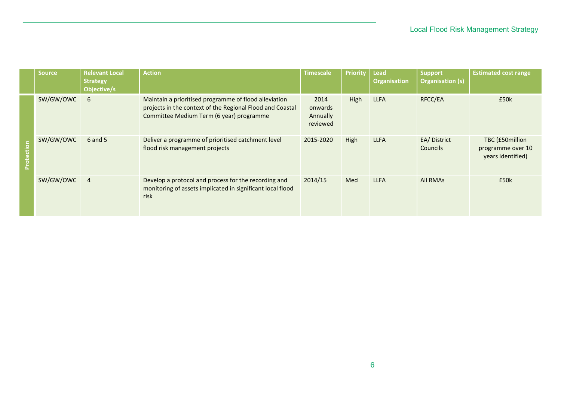|            | Source    | <b>Relevant Local</b><br><b>Strategy</b><br>Objective/s | <b>Action</b>                                                                                                                                                  | Timescale                               | <b>Priority</b> | <b>Lead</b><br><b>Organisation</b> | <b>Support</b><br><b>Organisation (s)</b> | <b>Estimated cost range</b>                               |
|------------|-----------|---------------------------------------------------------|----------------------------------------------------------------------------------------------------------------------------------------------------------------|-----------------------------------------|-----------------|------------------------------------|-------------------------------------------|-----------------------------------------------------------|
| ction<br>ă | SW/GW/OWC | 6                                                       | Maintain a prioritised programme of flood alleviation<br>projects in the context of the Regional Flood and Coastal<br>Committee Medium Term (6 year) programme | 2014<br>onwards<br>Annually<br>reviewed | <b>High</b>     | <b>LLFA</b>                        | RFCC/EA                                   | £50k                                                      |
|            | SW/GW/OWC | $6$ and $5$                                             | Deliver a programme of prioritised catchment level<br>flood risk management projects                                                                           | 2015-2020                               | High            | <b>LLFA</b>                        | EA/District<br><b>Councils</b>            | TBC (£50million<br>programme over 10<br>years identified) |
|            | SW/GW/OWC | $\overline{4}$                                          | Develop a protocol and process for the recording and<br>monitoring of assets implicated in significant local flood<br>risk                                     | 2014/15                                 | Med             | <b>LLFA</b>                        | <b>All RMAS</b>                           | £50k                                                      |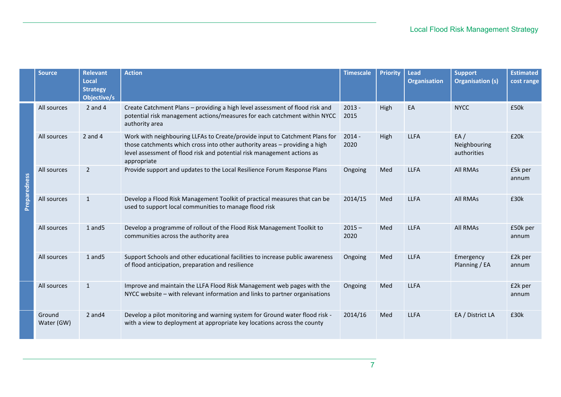|              | <b>Source</b>        | <b>Relevant</b><br>Local<br><b>Strategy</b><br>Objective/s | <b>Action</b>                                                                                                                                                                                                                                       | <b>Timescale</b> | <b>Priority</b> | <b>Lead</b><br><b>Organisation</b> | <b>Support</b><br><b>Organisation (s)</b> | <b>Estimated</b><br>cost range |
|--------------|----------------------|------------------------------------------------------------|-----------------------------------------------------------------------------------------------------------------------------------------------------------------------------------------------------------------------------------------------------|------------------|-----------------|------------------------------------|-------------------------------------------|--------------------------------|
| Preparedness | All sources          | $2$ and $4$                                                | Create Catchment Plans - providing a high level assessment of flood risk and<br>potential risk management actions/measures for each catchment within NYCC<br>authority area                                                                         | $2013 -$<br>2015 | High            | EA                                 | <b>NYCC</b>                               | £50k                           |
|              | All sources          | 2 and 4                                                    | Work with neighbouring LLFAs to Create/provide input to Catchment Plans for<br>those catchments which cross into other authority areas - providing a high<br>level assessment of flood risk and potential risk management actions as<br>appropriate | $2014 -$<br>2020 | High            | <b>LLFA</b>                        | EA/<br>Neighbouring<br>authorities        | £20k                           |
|              | All sources          | $\overline{2}$                                             | Provide support and updates to the Local Resilience Forum Response Plans                                                                                                                                                                            | Ongoing          | Med             | <b>LLFA</b>                        | All RMAs                                  | £5k per<br>annum               |
|              | All sources          | $\mathbf{1}$                                               | Develop a Flood Risk Management Toolkit of practical measures that can be<br>used to support local communities to manage flood risk                                                                                                                 | 2014/15          | Med             | <b>LLFA</b>                        | <b>All RMAs</b>                           | £30k                           |
|              | All sources          | $1$ and $5$                                                | Develop a programme of rollout of the Flood Risk Management Toolkit to<br>communities across the authority area                                                                                                                                     | $2015 -$<br>2020 | Med             | <b>LLFA</b>                        | All RMAs                                  | £50k per<br>annum              |
|              | All sources          | $1$ and $5$                                                | Support Schools and other educational facilities to increase public awareness<br>of flood anticipation, preparation and resilience                                                                                                                  | Ongoing          | Med             | <b>LLFA</b>                        | Emergency<br>Planning / EA                | £2k per<br>annum               |
|              | All sources          | $\mathbf{1}$                                               | Improve and maintain the LLFA Flood Risk Management web pages with the<br>NYCC website - with relevant information and links to partner organisations                                                                                               | Ongoing          | Med             | <b>LLFA</b>                        |                                           | £2k per<br>annum               |
|              | Ground<br>Water (GW) | $2$ and $4$                                                | Develop a pilot monitoring and warning system for Ground water flood risk -<br>with a view to deployment at appropriate key locations across the county                                                                                             | 2014/16          | Med             | <b>LLFA</b>                        | EA / District LA                          | £30k                           |